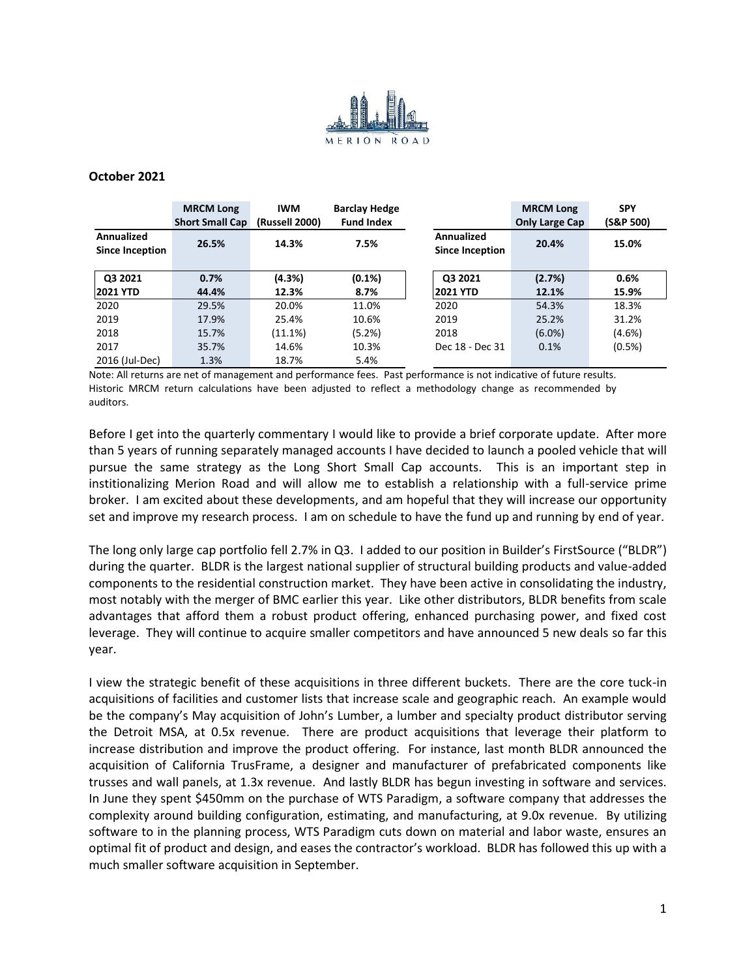

## **October 2021**

|                                             | <b>MRCM Long</b><br><b>Short Small Cap</b> | <b>IWM</b><br>(Russell 2000) | <b>Barclay Hedge</b><br><b>Fund Index</b> |                                      | <b>MRCM Long</b><br><b>Only Large Cap</b> | <b>SPY</b><br>(S&P 500) |
|---------------------------------------------|--------------------------------------------|------------------------------|-------------------------------------------|--------------------------------------|-------------------------------------------|-------------------------|
| <b>Annualized</b><br><b>Since Inception</b> | 26.5%                                      | 14.3%                        | 7.5%                                      | Annualized<br><b>Since Inception</b> | 20.4%                                     | 15.0%                   |
| Q3 2021                                     | 0.7%                                       | (4.3%)                       | $(0.1\%)$                                 | Q3 2021                              | (2.7%)                                    | 0.6%                    |
| <b>2021 YTD</b>                             | 44.4%                                      | 12.3%                        | 8.7%                                      | <b>2021 YTD</b>                      | 12.1%                                     | 15.9%                   |
| 2020                                        | 29.5%                                      | 20.0%                        | 11.0%                                     | 2020                                 | 54.3%                                     | 18.3%                   |
| 2019                                        | 17.9%                                      | 25.4%                        | 10.6%                                     | 2019                                 | 25.2%                                     | 31.2%                   |
| 2018                                        | 15.7%                                      | (11.1%)                      | (5.2%)                                    | 2018                                 | $(6.0\%)$                                 | $(4.6\%)$               |
| 2017                                        | 35.7%                                      | 14.6%                        | 10.3%                                     | Dec 18 - Dec 31                      | 0.1%                                      | $(0.5\%)$               |
| 2016 (Jul-Dec)                              | 1.3%                                       | 18.7%                        | 5.4%                                      |                                      |                                           |                         |

Note: All returns are net of management and performance fees. Past performance is not indicative of future results. Historic MRCM return calculations have been adjusted to reflect a methodology change as recommended by auditors.

Before I get into the quarterly commentary I would like to provide a brief corporate update. After more than 5 years of running separately managed accounts I have decided to launch a pooled vehicle that will pursue the same strategy as the Long Short Small Cap accounts. This is an important step in institionalizing Merion Road and will allow me to establish a relationship with a full-service prime broker. I am excited about these developments, and am hopeful that they will increase our opportunity set and improve my research process. I am on schedule to have the fund up and running by end of year.

The long only large cap portfolio fell 2.7% in Q3. I added to our position in Builder's FirstSource ("BLDR") during the quarter. BLDR is the largest national supplier of structural building products and value-added components to the residential construction market. They have been active in consolidating the industry, most notably with the merger of BMC earlier this year. Like other distributors, BLDR benefits from scale advantages that afford them a robust product offering, enhanced purchasing power, and fixed cost leverage. They will continue to acquire smaller competitors and have announced 5 new deals so far this year.

I view the strategic benefit of these acquisitions in three different buckets. There are the core tuck-in acquisitions of facilities and customer lists that increase scale and geographic reach. An example would be the company's May acquisition of John's Lumber, a lumber and specialty product distributor serving the Detroit MSA, at 0.5x revenue. There are product acquisitions that leverage their platform to increase distribution and improve the product offering. For instance, last month BLDR announced the acquisition of California TrusFrame, a designer and manufacturer of prefabricated components like trusses and wall panels, at 1.3x revenue. And lastly BLDR has begun investing in software and services. In June they spent \$450mm on the purchase of WTS Paradigm, a software company that addresses the complexity around building configuration, estimating, and manufacturing, at 9.0x revenue. By utilizing software to in the planning process, WTS Paradigm cuts down on material and labor waste, ensures an optimal fit of product and design, and eases the contractor's workload. BLDR has followed this up with a much smaller software acquisition in September.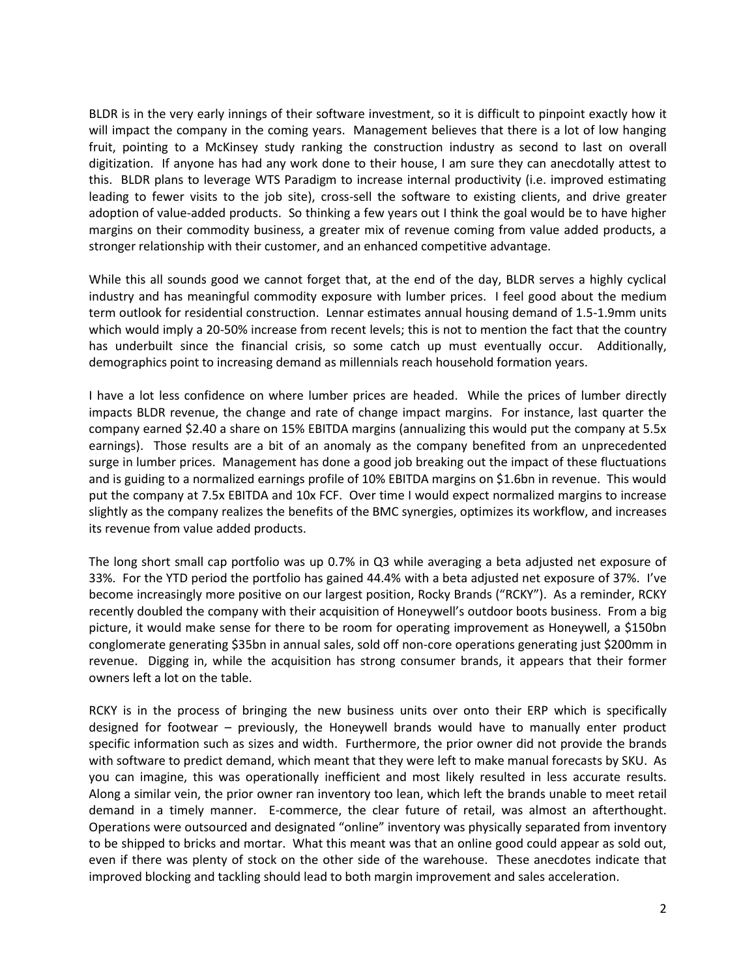BLDR is in the very early innings of their software investment, so it is difficult to pinpoint exactly how it will impact the company in the coming years. Management believes that there is a lot of low hanging fruit, pointing to a McKinsey study ranking the construction industry as second to last on overall digitization. If anyone has had any work done to their house, I am sure they can anecdotally attest to this. BLDR plans to leverage WTS Paradigm to increase internal productivity (i.e. improved estimating leading to fewer visits to the job site), cross-sell the software to existing clients, and drive greater adoption of value-added products. So thinking a few years out I think the goal would be to have higher margins on their commodity business, a greater mix of revenue coming from value added products, a stronger relationship with their customer, and an enhanced competitive advantage.

While this all sounds good we cannot forget that, at the end of the day, BLDR serves a highly cyclical industry and has meaningful commodity exposure with lumber prices. I feel good about the medium term outlook for residential construction. Lennar estimates annual housing demand of 1.5-1.9mm units which would imply a 20-50% increase from recent levels; this is not to mention the fact that the country has underbuilt since the financial crisis, so some catch up must eventually occur. Additionally, demographics point to increasing demand as millennials reach household formation years.

I have a lot less confidence on where lumber prices are headed. While the prices of lumber directly impacts BLDR revenue, the change and rate of change impact margins. For instance, last quarter the company earned \$2.40 a share on 15% EBITDA margins (annualizing this would put the company at 5.5x earnings). Those results are a bit of an anomaly as the company benefited from an unprecedented surge in lumber prices. Management has done a good job breaking out the impact of these fluctuations and is guiding to a normalized earnings profile of 10% EBITDA margins on \$1.6bn in revenue. This would put the company at 7.5x EBITDA and 10x FCF. Over time I would expect normalized margins to increase slightly as the company realizes the benefits of the BMC synergies, optimizes its workflow, and increases its revenue from value added products.

The long short small cap portfolio was up 0.7% in Q3 while averaging a beta adjusted net exposure of 33%. For the YTD period the portfolio has gained 44.4% with a beta adjusted net exposure of 37%. I've become increasingly more positive on our largest position, Rocky Brands ("RCKY"). As a reminder, RCKY recently doubled the company with their acquisition of Honeywell's outdoor boots business. From a big picture, it would make sense for there to be room for operating improvement as Honeywell, a \$150bn conglomerate generating \$35bn in annual sales, sold off non-core operations generating just \$200mm in revenue. Digging in, while the acquisition has strong consumer brands, it appears that their former owners left a lot on the table.

RCKY is in the process of bringing the new business units over onto their ERP which is specifically designed for footwear – previously, the Honeywell brands would have to manually enter product specific information such as sizes and width. Furthermore, the prior owner did not provide the brands with software to predict demand, which meant that they were left to make manual forecasts by SKU. As you can imagine, this was operationally inefficient and most likely resulted in less accurate results. Along a similar vein, the prior owner ran inventory too lean, which left the brands unable to meet retail demand in a timely manner. E-commerce, the clear future of retail, was almost an afterthought. Operations were outsourced and designated "online" inventory was physically separated from inventory to be shipped to bricks and mortar. What this meant was that an online good could appear as sold out, even if there was plenty of stock on the other side of the warehouse. These anecdotes indicate that improved blocking and tackling should lead to both margin improvement and sales acceleration.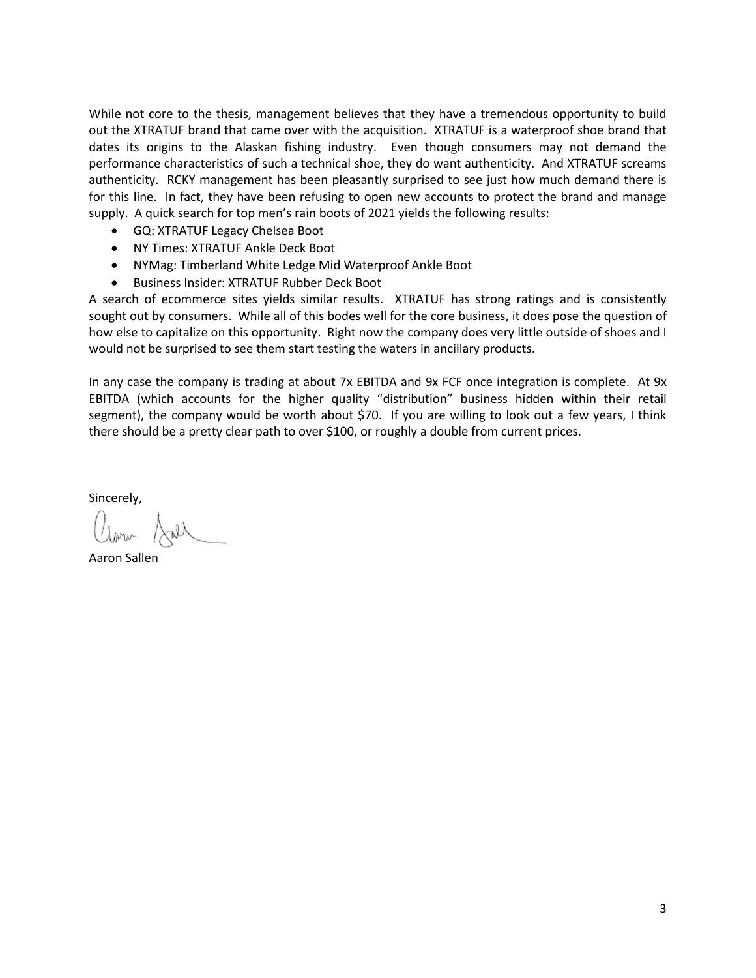While not core to the thesis, management believes that they have a tremendous opportunity to build out the XTRATUF brand that came over with the acquisition. XTRATUF is a waterproof shoe brand that dates its origins to the Alaskan fishing industry. Even though consumers may not demand the performance characteristics of such a technical shoe, they do want authenticity. And XTRATUF screams authenticity. RCKY management has been pleasantly surprised to see just how much demand there is for this line. In fact, they have been refusing to open new accounts to protect the brand and manage supply. A quick search for top men's rain boots of 2021 yields the following results:

- GQ: XTRATUF Legacy Chelsea Boot
- NY Times: XTRATUF Ankle Deck Boot
- NYMag: Timberland White Ledge Mid Waterproof Ankle Boot
- Business Insider: XTRATUF Rubber Deck Boot

A search of ecommerce sites yields similar results. XTRATUF has strong ratings and is consistently sought out by consumers. While all of this bodes well for the core business, it does pose the question of how else to capitalize on this opportunity. Right now the company does very little outside of shoes and I would not be surprised to see them start testing the waters in ancillary products.

In any case the company is trading at about 7x EBITDA and 9x FCF once integration is complete. At 9x EBITDA (which accounts for the higher quality "distribution" business hidden within their retail segment), the company would be worth about \$70. If you are willing to look out a few years, I think there should be a pretty clear path to over \$100, or roughly a double from current prices.

Sincerely,

Aaron Sallen